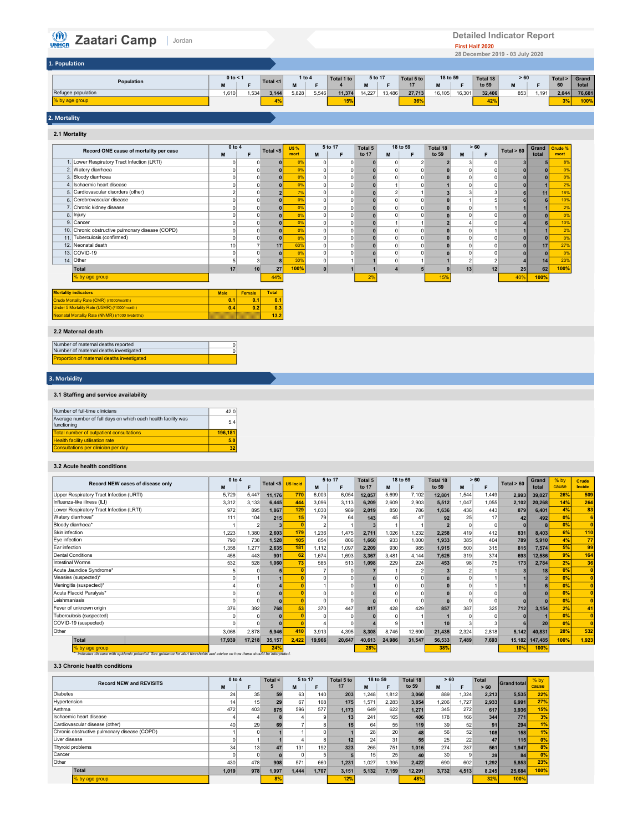# **CALLET ADDED** Jordan

| $\binom{n}{\text{OMHCR}}$<br>Zaatari Camp   Jordan |                                                                                                                 |                                                                                                                        | <b>Detailed Indicator Report</b><br>First Half 2020<br>28 December 2019 - 03 July 2020                          |                                                                  |
|----------------------------------------------------|-----------------------------------------------------------------------------------------------------------------|------------------------------------------------------------------------------------------------------------------------|-----------------------------------------------------------------------------------------------------------------|------------------------------------------------------------------|
| 1. Population                                      |                                                                                                                 |                                                                                                                        |                                                                                                                 |                                                                  |
| Population<br>Refugee population<br>% by age group | 0 to < 1<br>1 to 4<br>Total <1<br>M<br>M<br>$\mathsf F$<br>E<br>$5,828$ $5,546$<br>1,610<br>$1,534$ 3,144<br>4% | Total 1 to<br>5 to 17<br>Total 5 to<br>$\overline{4}$<br>17<br>${\bf M}$<br>F<br>11,374 14,227 13,486<br>27,713<br>15% | > 60<br>18 to 59<br>Total 18<br>to 59<br>M<br>F<br>M<br>F<br>16,105 16,301<br>853 1,191<br>32,406<br>36%<br>42% | Total ><br>Grand<br>60<br>total<br>2,044<br>76,681<br>3%<br>100% |
| 2. Mortality                                       |                                                                                                                 |                                                                                                                        |                                                                                                                 |                                                                  |

# 2. Mortality

1. Population

| 2.1 Mortality  |                                                   |             |          |              |                    |                |                |                  |                |               |                   |                |                |              |                |                 |
|----------------|---------------------------------------------------|-------------|----------|--------------|--------------------|----------------|----------------|------------------|----------------|---------------|-------------------|----------------|----------------|--------------|----------------|-----------------|
|                | Record ONE cause of mortality per case            | 0 to 4<br>M | F        | Total $<$ 5  | <b>U5%</b><br>mort | M              | 5 to 17<br>F   | Total 5<br>to 17 | M              | 18 to 59<br>E | Total 18<br>to 59 | M              | >60<br>F       | Total $> 60$ | Grand<br>total | Crude %<br>mort |
|                | 1. Lower Respiratory Tract Infection (LRTI)       |             |          |              | 0%                 | 0              |                | n                |                | 2             |                   | 3              |                |              |                | 8%              |
|                | 2. Watery diarrhoea                               | O           | $\Omega$ |              | 0%                 | $\circ$        | $\Omega$       |                  | $\mathbf 0$    | $\Omega$      |                   | $\Omega$       |                |              |                | 0%              |
| 3.             | Bloody diarrhoea                                  |             | $\Omega$ |              | 0%                 | $\circ$        | $\mathbf 0$    |                  | $\mathbf 0$    | $\Omega$      |                   | $\Omega$       |                |              |                | 0%              |
|                | 4. Ischaemic heart disease                        | O           | $\Omega$ |              | 0%                 | $\circ$        | $\mathbf 0$    |                  |                | $\Omega$      |                   | $\overline{0}$ | O              |              |                | 2%              |
|                | 5. Cardiovascular disorders (other)               |             | $\Omega$ |              | 7%                 | $\circ$        | $\mathbf 0$    | $\Omega$         | $\overline{2}$ |               |                   | 3              | 3              | 6            | 11             | 18%             |
|                | 6. Cerebrovascular disease                        |             | $\Omega$ |              | 0%                 | $\circ$        | $\mathbf 0$    | n                | $\mathbf 0$    | $\Omega$      |                   |                | 5              | 6            | 6              | 10%             |
| $\overline{7}$ | Chronic kidney disease                            |             | $\Omega$ |              | 0%                 | $\overline{0}$ | $\overline{0}$ |                  | $\Omega$       | $\Omega$      |                   | $\Omega$       |                |              |                | 2%              |
|                | 8. Injury                                         |             | $\Omega$ |              | 0%                 | $\circ$        | $\mathbf 0$    |                  | $\mathbf 0$    | $\Omega$      |                   | ŋ              | $\Omega$       |              | $\Omega$       | 0%              |
|                | 9. Cancer                                         |             | $\Omega$ |              | 0%                 | $\circ$        | $\mathbf 0$    |                  |                |               | 2                 |                |                |              | $\epsilon$     | 10%             |
|                | 10. Chronic obstructive pulmonary disease (COPD)  |             | $\Omega$ |              | 0%                 | $\mathbf 0$    | $\mathbf 0$    |                  | $\mathbf 0$    | $\Omega$      |                   |                |                |              |                | 2%              |
|                | 11. Tuberculosis (confirmed)                      |             |          |              | 0%                 | 0              | 0              |                  | $\Omega$       | $\Omega$      |                   |                |                |              | $\bf{0}$       | 0%              |
|                | 12. Neonatal death                                | 10          |          | 17           | 63%                | $\mathbf 0$    | $\Omega$       |                  | $\Omega$       | $\Omega$      |                   |                |                |              | 17             | 27%             |
|                | 13. COVID-19                                      |             |          |              | 0%                 | $\mathbf 0$    | $\Omega$       |                  | $\Omega$       | $\Omega$      |                   |                |                |              | $\bf{0}$       | 0%              |
|                | 14. Other                                         | 5           |          |              | 30%                | $\circ$        |                |                  | $\mathbf 0$    |               |                   | $\overline{2}$ | $\overline{2}$ |              | 14             | 23%             |
|                | Total                                             | 17          | 10       | 27           | 100%               | $\mathbf{0}$   |                |                  | $\overline{a}$ |               |                   | 13             | 12             | 25           | 62             | 100%            |
|                | % by age group                                    |             |          | 44%          |                    |                |                | 2%               |                |               | 15%               |                |                | 40%          | 100%           |                 |
|                | <b>Mortality indicators</b>                       | <b>Male</b> | Female   | <b>Total</b> |                    |                |                |                  |                |               |                   |                |                |              |                |                 |
|                | Crude Mortality Rate (CMR) (/1000/month)          | 0.1         | 0.1      | 0.1          |                    |                |                |                  |                |               |                   |                |                |              |                |                 |
|                | Under 5 Mortality Rate (U5MR) (/1000/month)       | 0.4         | 0.2      | 0.3          |                    |                |                |                  |                |               |                   |                |                |              |                |                 |
|                | Neonatal Mortality Rate (NNMR) (/1000 livebirths) |             |          | 13.2         |                    |                |                |                  |                |               |                   |                |                |              |                |                 |

| 2.2 Maternal death |  |
|--------------------|--|

| Number of maternal deaths reported                |  |
|---------------------------------------------------|--|
| Number of maternal deaths investigated            |  |
| <b>Proportion of maternal deaths investigated</b> |  |

## 3. Morbidity

# 3.1 Staffing and service availability

| Number of full-time clinicians                                               | 42.0    |
|------------------------------------------------------------------------------|---------|
| Average number of full days on which each health facility was<br>functioning | 5.4     |
| Total number of outpatient consultations                                     | 196.181 |
| <b>Health facility utilisation rate</b>                                      | 5.0     |
| Consultations per clinician per day                                          | 32      |

#### 3.2 Acute health conditions

|                                                                                                                                               | 0 to 4 |          | Total $<$ 5 | <b>U5 Incid</b> |        | 5 to 17 | Total 5  |        | 18 to 59 | Total 18 |       | >60   | Total $> 60$ | Grand           | $%$ by | Crude          |
|-----------------------------------------------------------------------------------------------------------------------------------------------|--------|----------|-------------|-----------------|--------|---------|----------|--------|----------|----------|-------|-------|--------------|-----------------|--------|----------------|
| Record NEW cases of disease only                                                                                                              | M      | E        |             |                 | M      |         | to 17    | M      | F        | to 59    | M     | F     |              | total           | cause  | Incide         |
| Upper Respiratory Tract Infection (URTI)                                                                                                      | 5,729  | 5,447    | 11,176      | 770             | 6,003  | 6,054   | 12,057   | 5.699  | 7,102    | 12,801   | 1,544 | 1.449 | 2,993        | 39.027          | 26%    | 509            |
| Influenza-like illness (ILI)                                                                                                                  | 3,312  | 3,133    | 6,445       | 444             | 3,096  | 3.113   | 6,209    | 2,609  | 2,903    | 5,512    | 1.047 | 1,055 | 2,102        | 20,268          | 14%    | 264            |
| Lower Respiratory Tract Infection (LRTI)                                                                                                      | 972    | 895      | 1,867       | 129             | 1,030  | 989     | 2,019    | 850    | 786      | 1,636    | 436   | 443   | 879          | 6,401           | 4%     | 83             |
| Watery diarrhoea*                                                                                                                             | 111    | 104      | 215         | 15              | 79     | 64      | 143      | 45     | 47       | 92       | 25    | 17    | 42           | 492             | 0%     | 6              |
| Bloody diarrhoea*                                                                                                                             |        |          |             |                 |        |         | 3        |        |          |          |       |       |              |                 | 0%     | $\overline{0}$ |
| Skin infection                                                                                                                                | 1,223  | 1.380    | 2,603       | 179             | 1.236  | 1.475   | 2,711    | 1.026  | 1,232    | 2,258    | 419   | 412   | 831          | 8,403           | 6%     | 110            |
| Eye infection                                                                                                                                 | 790    | 738      | 1,528       | 105             | 854    | 806     | 1,660    | 933    | 1,000    | 1,933    | 385   | 404   | 789          | 5,910           | 4%     | 77             |
| Ear infection                                                                                                                                 | 1,358  | 1,277    | 2,635       | 181             | 1.112  | 1,097   | 2,209    | 930    | 985      | 1,915    | 500   | 315   | 815          | 7,574           | 5%     | 99             |
| <b>Dental Conditions</b>                                                                                                                      | 458    | 443      | 901         | 62              | 1.674  | 1,693   | 3,367    | 3,481  | 4,144    | 7,625    | 319   | 374   | 693          | 12,586          | 9%     | 164            |
| Intestinal Worms                                                                                                                              | 532    | 528      | 1,060       | 73              | 585    | 513     | 1,098    | 229    | 224      | 453      | 98    | 75    | 173          | 2,784           | 2%     | 36             |
| Acute Jaundice Syndrome*                                                                                                                      |        |          |             |                 |        |         |          |        |          |          |       |       |              | 18              | 0%     | $\mathbf{0}$   |
| Measles (suspected)*                                                                                                                          |        |          |             |                 |        |         |          |        |          |          |       |       |              |                 | 0%     |                |
| Meningitis (suspected)*                                                                                                                       |        |          |             |                 |        |         |          |        |          |          |       |       |              |                 | 0%     | $\mathbf{0}$   |
| Acute Flaccid Paralysis*                                                                                                                      |        |          |             |                 |        |         |          |        |          |          |       |       |              |                 | 0%     | $\mathbf{0}$   |
| Leishmaniasis                                                                                                                                 |        |          |             |                 |        |         |          |        |          |          |       |       |              |                 | 0%     | $\mathbf{0}$   |
| Fever of unknown origin                                                                                                                       | 376    | 392      | 768         | 53              | 370    | 447     | 817      | 428    | 429      | 857      | 387   | 325   | 712          | 3,154           | 2%     | 41             |
| Tuberculosis (suspected)                                                                                                                      |        | $\Omega$ |             |                 |        |         | $\Omega$ |        |          |          |       |       |              |                 | 0%     | $\overline{0}$ |
| COVID-19 (suspected)                                                                                                                          |        |          |             |                 |        |         |          |        |          | 10       |       |       |              | 20 <sub>1</sub> | 0%     | $\mathbf{a}$   |
| Other                                                                                                                                         | 3,068  | 2,878    | 5,946       | 410             | 3,913  | 4,395   | 8,308    | 8,745  | 12,690   | 21,435   | 2,324 | 2,818 | 5,142        | 40,831          | 28%    | 532            |
| Total                                                                                                                                         | 17,939 | 17,218   | 35,157      | 2,422           | 19,966 | 20,647  | 40,613   | 24,986 | 31,547   | 56,533   | 7.489 | 7,693 | 15,182       | 147,485         | 100%   | 1,923          |
| % by age group<br>indicates disease with epidemic potential. See quidance for alert thresholds and advice on how these should be interpreted. |        |          | 24%         |                 |        |         | 28%      |        |          | 38%      |       |       | 10%          | 100%            |        |                |

#### 3.3 Chronic health conditions

| <b>Record NEW and REVISITS</b>               | 0 to 4 |                 | Total $\leq$ | 5 to 17 |       | Total 5 to | 18 to 59 |       | Total 18 | >60   |       | <b>Total</b>     | <b>Grand total</b> | $%$ by |
|----------------------------------------------|--------|-----------------|--------------|---------|-------|------------|----------|-------|----------|-------|-------|------------------|--------------------|--------|
|                                              | M      | F               |              | M       | F     | 17         | M        |       | to 59    | M     |       | >60              |                    | cause  |
| <b>Diabetes</b>                              | 24     | 35              | 59           | 63      | 140   | 203        | 1,248    | 1.812 | 3.060    | 889   | 1.324 | 2.213            | 5,535              | 22%    |
| Hypertension                                 | 14     | 15              | 29           | 67      | 108   | 175        | 1,571    | 2.283 | 3,854    | 1.206 | 1.727 | 2,933            | 6,991              | 27%    |
| Asthma                                       | 472    | 403             | 875          | 596     | 577   | 1.173      | 649      | 622   | 1.271    | 345   | 272   | 617              | 3,936              | 15%    |
| Ischaemic heart disease                      |        |                 |              |         |       | 13         | 241      | 165   | 406      | 178   | 166   | 344              | 771                | 3%     |
| Cardiovascular disease (other)               | 40     | 29              | 69           |         |       | 15         | 64       | 55    | 119      | 39    | 52    | 91               | 294                | 1%     |
| Chronic obstructive pulmonary disease (COPD) |        |                 |              |         |       |            | 28       | 20    | 48       | 56    | 52    | 108 <sub>1</sub> | 158                | 1%     |
| Liver disease                                |        |                 |              |         | 8     | 12         | 24       | 31    | 55       | 25    | 22    | 47               | 115                | 0%     |
| Thyroid problems                             | 34     | 13 <sub>1</sub> | 47           | 131     | 192   | 323        | 265      | 751   | 1.016    | 274   | 287   | 561              | 1,947              | 8%     |
| Cancer                                       |        |                 |              |         |       |            | 15       | 25    | 40       | 30    |       | 39               | 84                 | 0%     |
| Other                                        | 430    | 478             | 908          | 571     | 660   | 1,231      | 1.027    | 1,395 | 2,422    | 690   | 602   | 1.292            | 5,853              | 23%    |
| Total                                        | 1,019  | 978             | 1,997        | 1,444   | 1.707 | 3,151      | 5,132    | 7,159 | 12,291   | 3,732 | 4,513 | 8,245            | 25,684             | 100%   |
| % by age group                               |        |                 | 8%           |         |       | 12%        |          |       | 48%      |       |       | 32%              | 100%               |        |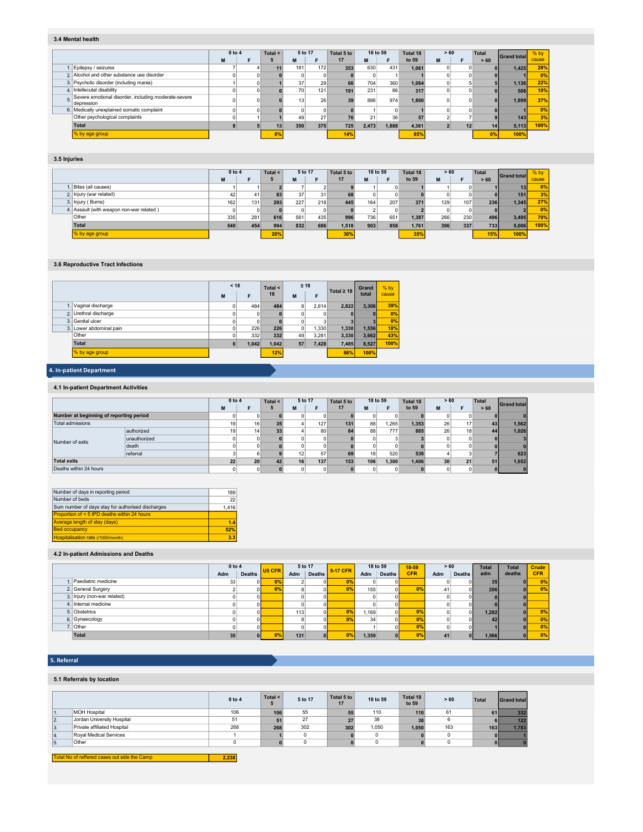#### 3.4 Mental health

|    |                                                                    | 0 to 4 | Total $\leq$ | 5 to 17 |     | Total 5 to | 18 to 59 |       | Total 18 | > 60 |    | Total | <b>Grand total</b> | $%$ by |
|----|--------------------------------------------------------------------|--------|--------------|---------|-----|------------|----------|-------|----------|------|----|-------|--------------------|--------|
|    |                                                                    | M      |              | M       |     | 17         | М        |       | to 59    | M    |    | >60   |                    | cause  |
|    | Epilepsy / seizures                                                |        |              | 181     | 172 | 353        | 630      | 431   | 1.061    |      |    |       | 1,425              | 28%    |
|    | 2. Alcohol and other substance use disorder                        |        |              |         |     |            |          |       |          |      |    |       |                    | 0%     |
|    | 3. Psychotic disorder (including mania)                            |        |              | 37      | 29  | 66         | 704      | 360   | 1.064    |      |    |       | 1,136              | 22%    |
|    | 4. Intellecutal disability                                         |        |              | 70      | 121 | 191        | 231      | 86    | 317      |      |    |       | 508                | 10%    |
| 5. | Severe emotional disorder, including moderate-severe<br>depression |        |              |         | 26  | 39         | 886      | 974   | 1.860    |      |    |       | 1.899              | 37%    |
|    | 6. Medically unexplained somatic complaint                         |        |              |         |     |            |          |       |          |      |    |       |                    | 0%     |
|    | Other psychological complaints                                     |        |              | 49      | 27  | 76         | 21       | 36    | 57       |      |    |       | 143                | 3%     |
|    | Total                                                              |        | 13           | 350     | 375 | 725        | 2.473    | 1.888 | 4,361    |      | 12 | 14    | 5,113              | 100%   |
|    | % by age group                                                     |        | 0%           |         |     | 14%        |          |       | 85%      |      |    | 0%    | 100%               |        |

## 3.5 Injuries

|                                          |     | 0 to 4<br>Total < |     | 5 to 17 |     | Total 5 to |          | 18 to 59 |       | > 60 |     | Total | <b>Grand total</b> | % by  |
|------------------------------------------|-----|-------------------|-----|---------|-----|------------|----------|----------|-------|------|-----|-------|--------------------|-------|
|                                          | M   |                   |     | м       |     | 17         | M        | Е        | to 59 | M    |     | >60   |                    | cause |
| Bites (all causes)                       |     |                   |     |         |     |            |          |          |       |      |     |       | 13 <sub>1</sub>    | 0%    |
| 2. Injury (war related)                  | 42  | 41                | 83  | 37      | 31  | 68         | $\Omega$ |          |       |      |     |       | 151                | 3%    |
| 3. Injury (Burns)                        | 162 | 131               | 293 | 227     | 218 | 445        | 164      | 207      | 371   | 129  | 107 | 236   | 1,345              | 27%   |
| 4. Assault (with weapon non-war related) |     |                   |     |         |     |            |          |          |       |      |     |       |                    | 0%    |
| Other                                    | 335 | 281               | 616 | 561     | 435 | 996        | 736      | 651      | 1,387 | 266  | 230 | 496   | 3,495              | 70%   |
| Total                                    | 540 | 454               | 994 | 832     | 686 | 1,518      | 903      | 858      | 1,761 | 396  | 337 | 733   | 5,006              | 100%  |
| % by age group                           |     |                   | 20% |         |     | 30%        |          |          | 35%   |      |     | 15%   | 100%               |       |

#### 3.6 Reproductive Tract Infections

|                         | < 18 |       | Total $\leq$ |                | $\geq 18$ | Total $\geq 18$ | Grand | % by  |
|-------------------------|------|-------|--------------|----------------|-----------|-----------------|-------|-------|
|                         | M    | F     | 18           | M              | F         |                 | total | cause |
| 1. Vaginal discharge    | o١   | 484   | 484          | 8              | 2.814     | 2,822           | 3.306 | 39%   |
| 2. Urethral discharge   |      | 0     |              | $\mathbf{0}$   | 0         | $\mathbf{0}$    |       | 0%    |
| 3. Genital ulcer        |      | 0     |              | $\overline{0}$ | 3         | $\mathbf{a}$    |       | 0%    |
| 3. Lower abdominal pain |      | 226   | 226          | $\overline{0}$ | 1.330     | 1,330           | 1,556 | 18%   |
| Other                   |      | 332   | 332          | 49             | 3,281     | 3,330           | 3,662 | 43%   |
| <b>Total</b>            |      | 1.042 | 1.042        | 57             | 7,428     | 7,485           | 8,527 | 100%  |
| % by age group          |      |       | 12%          |                |           | 88%             | 100%  |       |
|                         |      |       |              |                |           |                 |       |       |

# 4. In-patient Department

# 4.1 In-patient Department Activities

|                                         |              |    | 0 to 4<br>Total < |    | 5 to 17 |     | Total 5 to | 18 to 59 |       | Total 18 | > 60      |    | Total | <b>Grand total</b> |
|-----------------------------------------|--------------|----|-------------------|----|---------|-----|------------|----------|-------|----------|-----------|----|-------|--------------------|
|                                         |              | M  |                   | 5  | M       |     | 17         | M        |       | to 59    | M         |    | > 60  |                    |
| Number at beginning of reporting period |              |    |                   |    |         |     |            |          |       |          |           |    |       |                    |
| Total admissions                        |              | 19 | 16                | 35 |         | 127 | 131        | 88       | .265  | 1.353    | <b>26</b> | 17 | 43    | 1,562              |
|                                         | authorized   | 19 | 14                | 33 |         | 80  | 84         | 88       | 777   | 865      | 26        | 18 | 44    | 1,026              |
| Number of exits                         | unauthorized |    | 0                 |    |         |     |            |          |       |          |           |    |       |                    |
|                                         | death        |    | 0                 |    |         |     |            |          |       |          |           |    |       |                    |
|                                         | referral     |    |                   |    | 12      | 57  | 69         | 18       | 520   | 538      |           |    |       | 623                |
| <b>Total exits</b>                      |              | 22 | 20                | 42 | 16      | 137 | 153        | 106      | 1.300 | 1.406    | 30        | 21 | 51    | 1,652              |
| Deaths within 24 hours                  |              |    | 0                 |    |         |     |            |          |       |          | $\Omega$  |    |       |                    |

| Number of days in reporting period                | 189   |
|---------------------------------------------------|-------|
| Number of beds                                    | 22    |
| Sum number of days stay for authorised discharges | 1.416 |
| Proportion of < 5 IPD deaths within 24 hours      |       |
| <b>Average length of stay (days)</b>              | 1.4   |
| <b>Bed occupancy</b>                              | 52%   |
| Hospitalisation rate (/1000/month)                | 3.3   |

# 4.2 In-patient Admissions and Deaths

|                             | 0 to 4 |               | U <sub>5</sub> CFR | 5 to 17 |               | 5-17 CFR |       | 18 to 59      | 18-59      | > 60 |                | <b>Total</b>    | <b>Total</b> | Crude      |
|-----------------------------|--------|---------------|--------------------|---------|---------------|----------|-------|---------------|------------|------|----------------|-----------------|--------------|------------|
|                             | Adm    | <b>Deaths</b> |                    | Adm     | <b>Deaths</b> |          | Adm   | <b>Deaths</b> | <b>CFR</b> | Adm  | <b>Deaths</b>  | adm             | deaths       | <b>CFR</b> |
| Paediatric medicine         | 33     |               | 0%                 |         |               | 0%       |       |               |            |      | $\Omega$       | 35 <sub>1</sub> |              | 0%         |
| 2. General Surgery          |        | ΩI            | 0%                 |         |               | 0%       | 1551  |               | 0%         | 41   | οI             | 206             | ΩI           | 0%         |
| 3. Injury (non-war related) |        |               |                    |         |               |          |       |               |            |      | $\mathbf{0}$   |                 |              |            |
| 4. Internal medicine        |        |               |                    |         |               |          |       |               |            |      | $\Omega$       |                 |              |            |
| 5. Obstetrics               |        |               |                    | 113     |               | 0%       | i.169 |               | 0%         |      | ΩI             | 1,282           |              | 0%         |
| 6. Gynaecology              |        |               |                    |         |               | 0%       | 34    |               | 0%         |      | $\Omega$       | 42              |              | 0%         |
| 7. Other                    |        |               |                    |         |               |          |       |               | 0%         |      |                |                 |              | 0%         |
| <b>Total</b>                | 35     |               | 0%                 | 131     |               | 0%       | 1,359 |               |            |      | $\overline{0}$ | 1,566           |              | 0%         |

# 5. Referral

#### 5.1 Referrals by location

|     |                             | 0 to 4 | Total $\leq$<br>5 | 5 to 17 | Total 5 to<br>17 | 18 to 59 | Total 18<br>to 59 | > 60 | Total | <b>Grand total</b> |
|-----|-----------------------------|--------|-------------------|---------|------------------|----------|-------------------|------|-------|--------------------|
| 11. | <b>MOH Hospital</b>         | 106    | 106               | 55      | 55               | 110      | 110               | 61   | 61    | 332                |
| 2.  | Jordan University Hospital  | 51     | 51                | 27      | $\epsilon$       | 38       | 38                | 6    |       | 122                |
| 3.  | Private affiliated Hospital | 268    | 268               | 302     | 302              | 1.050    | 1,050             | 163  | 163   | 1.783              |
| 14. | Roval Medical Services      |        |                   |         |                  |          |                   |      |       |                    |
| 5.  | Other                       |        |                   |         |                  |          |                   |      |       |                    |

Total No of reffered cases out side the Camp 2,238 т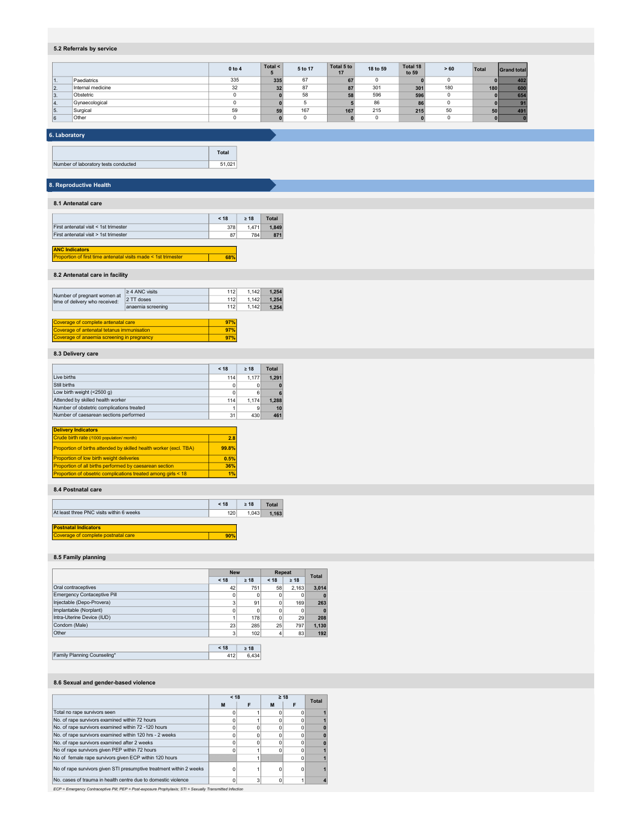# 5.2 Referrals by service

|     |                   | $0$ to 4 | Total $\leq$<br>m | 5 to 17 | Total 5 to<br>17 | 18 to 59 | Total 18<br>to 59 | > 60 | Total | <b>Grand total</b> |
|-----|-------------------|----------|-------------------|---------|------------------|----------|-------------------|------|-------|--------------------|
|     | Paediatrics       | 335      | 335               | 67      | 67               |          |                   |      |       | 402                |
| 2.  | Internal medicine | 32       | 32                | 87      | 87               | 301      | 301               | 180  | 180   | 600                |
| 3.  | Obstetric         | n.       |                   | 58      | 58               | 596      | 596               | 0    |       | 654                |
| 14. | Gynaecological    |          |                   |         |                  | 86       | 86                | 0    |       | 91                 |
| 5.  | Surgical          | 59       | 59                | 167     | 167              | 215      | 215               | 50   | 50    | 491                |
| 6   | Other             |          |                   |         |                  |          |                   |      |       |                    |

## 6. Laboratory

|                                      | Total  |  |
|--------------------------------------|--------|--|
| Number of laboratory tests conducted | 51.021 |  |

# 8. Reproductive Health

#### 8.1 Antenatal care

|                                       | < 18 | $>18$ | Total |
|---------------------------------------|------|-------|-------|
| First antenatal visit < 1st trimester | 378  | 1.471 | 1.849 |
| First antenatal visit > 1st trimester | 87   | 784   | 871   |
|                                       |      |       |       |

#### 68% ANC Indicators Proportion of first time antenatal visits made < 1st trimester

#### 8.2 Antenatal care in facility

|                                                               | $\geq$ 4 ANC visits | 112 | 1.142 | 1.254 |
|---------------------------------------------------------------|---------------------|-----|-------|-------|
| Number of pregnant women at<br>time of delivery who received: | 2 TT doses          | 112 | 1.142 | 1.254 |
|                                                               | anaemia screening   | 112 | 1.142 | 1.254 |
|                                                               |                     |     |       |       |
| Coverage of complete antenatal care                           |                     | 97% |       |       |
| Coverage of antenatal tetanus immunisation                    |                     | 97% |       |       |
| Coverage of anaemia screening in pregnancy                    |                     | 97% |       |       |

## 8.3 Delivery care

|                                                                    | < 18  | $> 18$ | <b>Total</b> |
|--------------------------------------------------------------------|-------|--------|--------------|
| Live births                                                        | 114   | 1.177  | 1.291        |
| Still births                                                       |       |        | $\bf{0}$     |
| Low birth weight $($ < 2500 g)                                     | 0     | 6      | 6            |
| Attended by skilled health worker                                  | 114   | 1.174  | 1.288        |
| Number of obstetric complications treated                          |       | 9      | 10           |
| Number of caesarean sections performed                             | 31    | 430    | 461          |
|                                                                    |       |        |              |
| <b>Delivery Indicators</b>                                         |       |        |              |
| Crude birth rate (/1000 population/ month)                         | 2.8   |        |              |
| Proportion of births attended by skilled health worker (excl. TBA) | 99.8% |        |              |
| Proportion of low birth weight deliveries                          | 0.5%  |        |              |
| Proportion of all births performed by caesarean section            | 36%   |        |              |
| Proportion of obsetric complications treated among girls < 18      | 1%    |        |              |

#### 8.4 Postnatal care

|                                                                    | < 18 | >18   | Total |
|--------------------------------------------------------------------|------|-------|-------|
| At least three PNC visits within 6 weeks                           | 120  | 1.043 | 1.163 |
| <b>Postnatal Indicators</b><br>Coverage of complete postnatal care | 90%  |       |       |

#### 8.5 Family planning

|                                    | <b>New</b> |           | Repeat |             | <b>Total</b> |  |
|------------------------------------|------------|-----------|--------|-------------|--------------|--|
|                                    | < 18       | $\geq 18$ | < 18   | $\geq 18$   |              |  |
| Oral contraceptives                | 42         | 751       | 58     | 2.163       | 3.014        |  |
| <b>Emergency Contaceptive Pill</b> | 0          | 0         | 0      | 0           | $\bf{0}$     |  |
| Injectable (Depo-Provera)          | 3          | 91        | 0      | 169         | 263          |  |
| Implantable (Norplant)             | 0          | 0         | 0      | $\mathbf 0$ | $\mathbf{0}$ |  |
| Intra-Uterine Device (IUD)         |            | 178       | 0      | 29          | 208          |  |
| Condom (Male)                      | 23         | 285       | 25     | 797         | 1,130        |  |
| Other                              | 3          | 102       | 4      | 83          | 192          |  |
|                                    |            |           |        |             |              |  |
|                                    | < 18       | $\geq 18$ |        |             |              |  |

| Family Planning Counseling* | 412 6.434 |
|-----------------------------|-----------|
|                             |           |

## 8.6 Sexual and gender-based violence

|                                                                                                           | < 18 |   |          | $\geq 18$ | <b>Total</b> |
|-----------------------------------------------------------------------------------------------------------|------|---|----------|-----------|--------------|
|                                                                                                           | M    |   | м        |           |              |
| Total no rape survivors seen                                                                              |      |   |          |           |              |
| No. of rape survivors examined within 72 hours                                                            |      |   |          |           |              |
| No. of rape survivors examined within 72 -120 hours                                                       |      |   |          |           |              |
| No. of rape survivors examined within 120 hrs - 2 weeks                                                   |      |   |          |           |              |
| No. of rape survivors examined after 2 weeks                                                              |      |   |          |           |              |
| No of rape survivors given PEP within 72 hours                                                            |      |   |          |           |              |
| No of female rape survivors given ECP within 120 hours                                                    |      |   |          |           |              |
| No of rape survivors given STI presumptive treatment within 2 weeks                                       |      |   |          | 0         |              |
| No. cases of trauma in health centre due to domestic violence                                             |      | 3 | $\Omega$ |           |              |
| ECP = Emergency Contraceptive Pill; PEP = Post-exposure Prophylaxis; STI = Sexually Transmitted Infection |      |   |          |           |              |